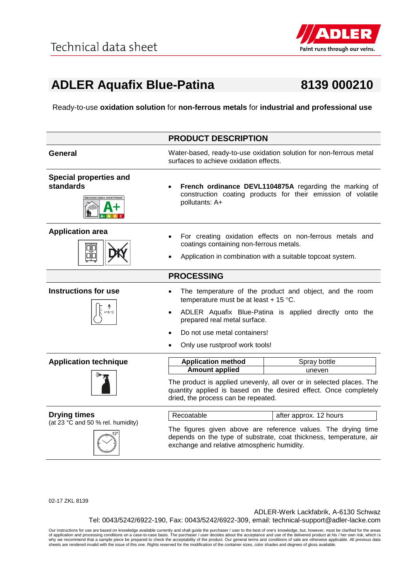

## **ADLER Aquafix Blue-Patina 8139 000210**

Ready-to-use **oxidation solution** for **non-ferrous metals** for **industrial and professional use**

|                                                                                    | <b>PRODUCT DESCRIPTION</b>                                                                                                                                                      |                                                                                                                                     |
|------------------------------------------------------------------------------------|---------------------------------------------------------------------------------------------------------------------------------------------------------------------------------|-------------------------------------------------------------------------------------------------------------------------------------|
| <b>General</b>                                                                     | surfaces to achieve oxidation effects.                                                                                                                                          | Water-based, ready-to-use oxidation solution for non-ferrous metal                                                                  |
| <b>Special properties and</b><br>standards<br><b>MISSIONS DANS L'AIR INTÉRIEUR</b> | pollutants: A+                                                                                                                                                                  | French ordinance DEVL1104875A regarding the marking of<br>construction coating products for their emission of volatile              |
| <b>Application area</b>                                                            | coatings containing non-ferrous metals.                                                                                                                                         | For creating oxidation effects on non-ferrous metals and<br>Application in combination with a suitable topcoat system.              |
|                                                                                    | <b>PROCESSING</b>                                                                                                                                                               |                                                                                                                                     |
| <b>Instructions for use</b><br>+15 °C                                              | temperature must be at least + 15 $^{\circ}$ C.<br>prepared real metal surface.<br>Do not use metal containers!<br>Only use rustproof work tools!                               | The temperature of the product and object, and the room<br>ADLER Aquafix Blue-Patina is applied directly onto the                   |
|                                                                                    |                                                                                                                                                                                 |                                                                                                                                     |
| <b>Application technique</b>                                                       | <b>Application method</b><br><b>Amount applied</b>                                                                                                                              | Spray bottle<br>uneven                                                                                                              |
|                                                                                    | The product is applied unevenly, all over or in selected places. The<br>quantity applied is based on the desired effect. Once completely<br>dried, the process can be repeated. |                                                                                                                                     |
| <b>Drying times</b>                                                                | Recoatable                                                                                                                                                                      | after approx. 12 hours                                                                                                              |
| (at 23 °C and 50 % rel. humidity)                                                  | exchange and relative atmospheric humidity.                                                                                                                                     | The figures given above are reference values. The drying time<br>depends on the type of substrate, coat thickness, temperature, air |

02-17 ZKL 8139

ADLER-Werk Lackfabrik, A-6130 Schwaz Tel: 0043/5242/6922-190, Fax: 0043/5242/6922-309, email: technical-support@adler-lacke.com

Our instructions for use are based on knowledge available currently and shall guide the purchaser / user to the best of one's knowledge, but, however, must be clarified for the areas of application and processing conditions on a case-to-case basis. The purchaser / user decides about the acceptance and use of the delivered product at his / her own risk, which is<br>why we recommend that a sample piece be p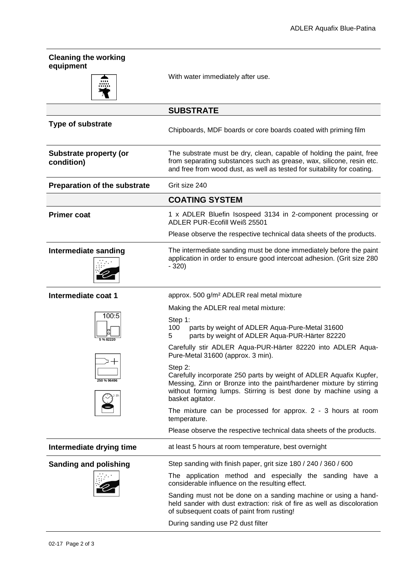| <b>Cleaning the working</b><br>equipment    |                                                                                                                                                                                                                                             |
|---------------------------------------------|---------------------------------------------------------------------------------------------------------------------------------------------------------------------------------------------------------------------------------------------|
|                                             | With water immediately after use.                                                                                                                                                                                                           |
|                                             | <b>SUBSTRATE</b>                                                                                                                                                                                                                            |
| Type of substrate                           | Chipboards, MDF boards or core boards coated with priming film                                                                                                                                                                              |
| <b>Substrate property (or</b><br>condition) | The substrate must be dry, clean, capable of holding the paint, free<br>from separating substances such as grease, wax, silicone, resin etc.<br>and free from wood dust, as well as tested for suitability for coating.                     |
| <b>Preparation of the substrate</b>         | Grit size 240                                                                                                                                                                                                                               |
|                                             | <b>COATING SYSTEM</b>                                                                                                                                                                                                                       |
| <b>Primer coat</b>                          | 1 x ADLER Bluefin Isospeed 3134 in 2-component processing or<br>ADLER PUR-Ecofill Weiß 25501                                                                                                                                                |
|                                             | Please observe the respective technical data sheets of the products.                                                                                                                                                                        |
| Intermediate sanding                        | The intermediate sanding must be done immediately before the paint<br>application in order to ensure good intercoat adhesion. (Grit size 280<br>$-320$                                                                                      |
| Intermediate coat 1                         | approx. 500 g/m <sup>2</sup> ADLER real metal mixture                                                                                                                                                                                       |
|                                             | Making the ADLER real metal mixture:                                                                                                                                                                                                        |
| 100:5<br>5 % 82220                          | Step 1:<br>100<br>parts by weight of ADLER Aqua-Pure-Metal 31600<br>parts by weight of ADLER Aqua-PUR-Härter 82220<br>5                                                                                                                     |
|                                             | Carefully stir ADLER Aqua-PUR-Härter 82220 into ADLER Aqua-<br>Pure-Metal 31600 (approx. 3 min).                                                                                                                                            |
| 250 % 96496                                 | Step 2:<br>Carefully incorporate 250 parts by weight of ADLER Aquafix Kupfer,<br>Messing, Zinn or Bronze into the paint/hardener mixture by stirring<br>without forming lumps. Stirring is best done by machine using a<br>basket agitator. |
|                                             | The mixture can be processed for approx. $2 - 3$ hours at room<br>temperature.                                                                                                                                                              |
|                                             | Please observe the respective technical data sheets of the products.                                                                                                                                                                        |
| Intermediate drying time                    | at least 5 hours at room temperature, best overnight                                                                                                                                                                                        |
| <b>Sanding and polishing</b>                | Step sanding with finish paper, grit size 180 / 240 / 360 / 600                                                                                                                                                                             |
|                                             | The application method and especially the sanding have a<br>considerable influence on the resulting effect.                                                                                                                                 |
|                                             | Sanding must not be done on a sanding machine or using a hand-<br>held sander with dust extraction: risk of fire as well as discoloration<br>of subsequent coats of paint from rusting!                                                     |
|                                             | During sanding use P2 dust filter                                                                                                                                                                                                           |